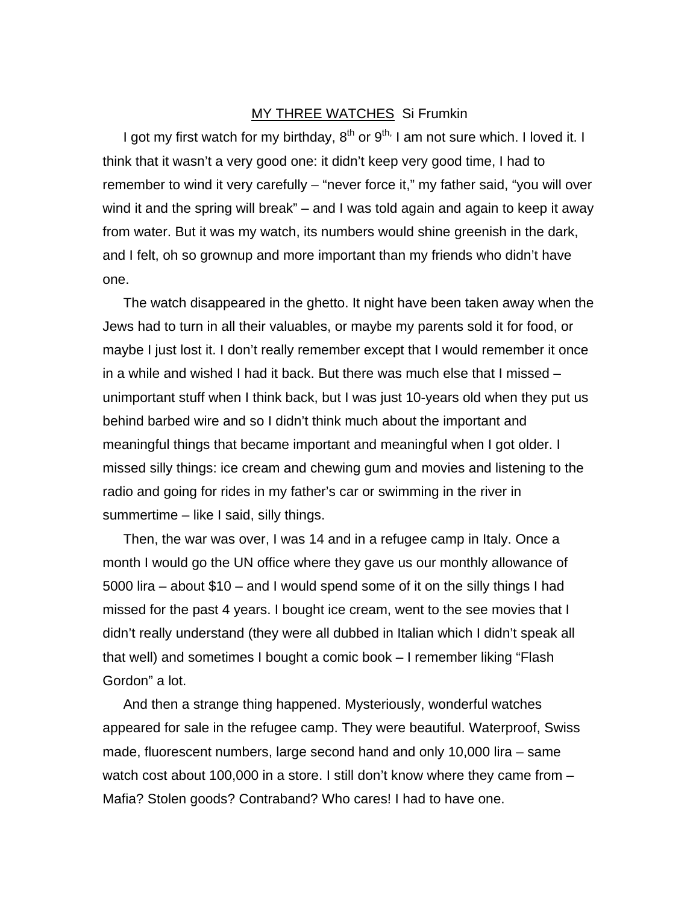## MY THREE WATCHES Si Frumkin

I got my first watch for my birthday,  $8^{th}$  or  $9^{th}$ , I am not sure which. I loved it. I think that it wasn't a very good one: it didn't keep very good time, I had to remember to wind it very carefully – "never force it," my father said, "you will over wind it and the spring will break" – and I was told again and again to keep it away from water. But it was my watch, its numbers would shine greenish in the dark, and I felt, oh so grownup and more important than my friends who didn't have one.

The watch disappeared in the ghetto. It night have been taken away when the Jews had to turn in all their valuables, or maybe my parents sold it for food, or maybe I just lost it. I don't really remember except that I would remember it once in a while and wished I had it back. But there was much else that I missed – unimportant stuff when I think back, but I was just 10-years old when they put us behind barbed wire and so I didn't think much about the important and meaningful things that became important and meaningful when I got older. I missed silly things: ice cream and chewing gum and movies and listening to the radio and going for rides in my father's car or swimming in the river in summertime – like I said, silly things.

Then, the war was over, I was 14 and in a refugee camp in Italy. Once a month I would go the UN office where they gave us our monthly allowance of 5000 lira – about \$10 – and I would spend some of it on the silly things I had missed for the past 4 years. I bought ice cream, went to the see movies that I didn't really understand (they were all dubbed in Italian which I didn't speak all that well) and sometimes I bought a comic book – I remember liking "Flash Gordon" a lot.

And then a strange thing happened. Mysteriously, wonderful watches appeared for sale in the refugee camp. They were beautiful. Waterproof, Swiss made, fluorescent numbers, large second hand and only 10,000 lira – same watch cost about 100,000 in a store. I still don't know where they came from -Mafia? Stolen goods? Contraband? Who cares! I had to have one.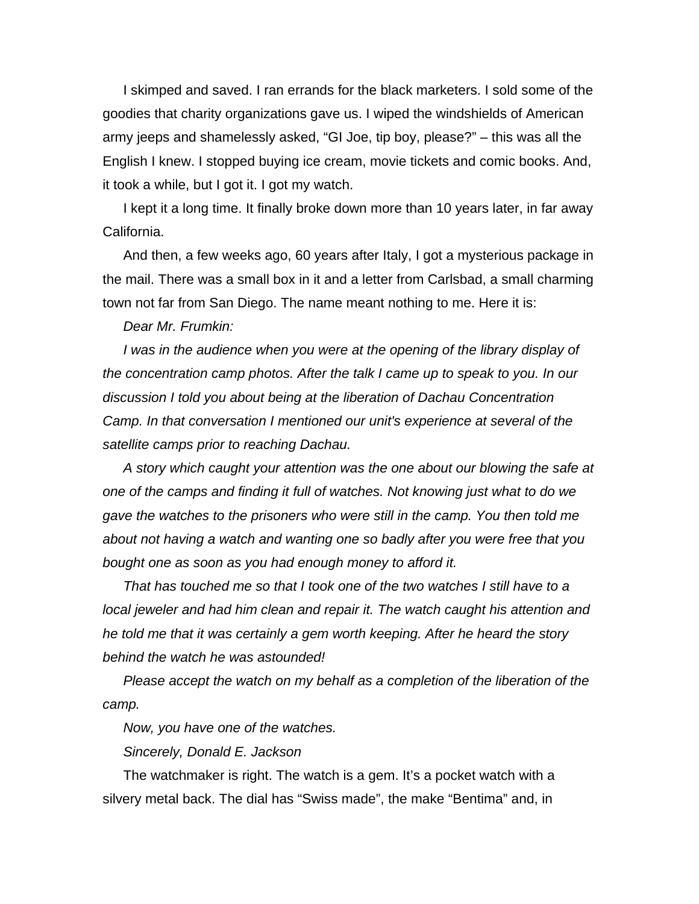I skimped and saved. I ran errands for the black marketers. I sold some of the goodies that charity organizations gave us. I wiped the windshields of American army jeeps and shamelessly asked, "GI Joe, tip boy, please?" – this was all the English I knew. I stopped buying ice cream, movie tickets and comic books. And, it took a while, but I got it. I got my watch.

I kept it a long time. It finally broke down more than 10 years later, in far away California.

And then, a few weeks ago, 60 years after Italy, I got a mysterious package in the mail. There was a small box in it and a letter from Carlsbad, a small charming town not far from San Diego. The name meant nothing to me. Here it is:

## *Dear Mr. Frumkin:*

*I* was in the audience when you were at the opening of the library display of *the concentration camp photos. After the talk I came up to speak to you. In our discussion I told you about being at the liberation of Dachau Concentration Camp. In that conversation I mentioned our unit's experience at several of the satellite camps prior to reaching Dachau.* 

*A story which caught your attention was the one about our blowing the safe at one of the camps and finding it full of watches. Not knowing just what to do we gave the watches to the prisoners who were still in the camp. You then told me about not having a watch and wanting one so badly after you were free that you bought one as soon as you had enough money to afford it.* 

*That has touched me so that I took one of the two watches I still have to a local jeweler and had him clean and repair it. The watch caught his attention and he told me that it was certainly a gem worth keeping. After he heard the story behind the watch he was astounded!* 

*Please accept the watch on my behalf as a completion of the liberation of the camp.* 

*Now, you have one of the watches.* 

*Sincerely, Donald E. Jackson* 

The watchmaker is right. The watch is a gem. It's a pocket watch with a silvery metal back. The dial has "Swiss made", the make "Bentima" and, in